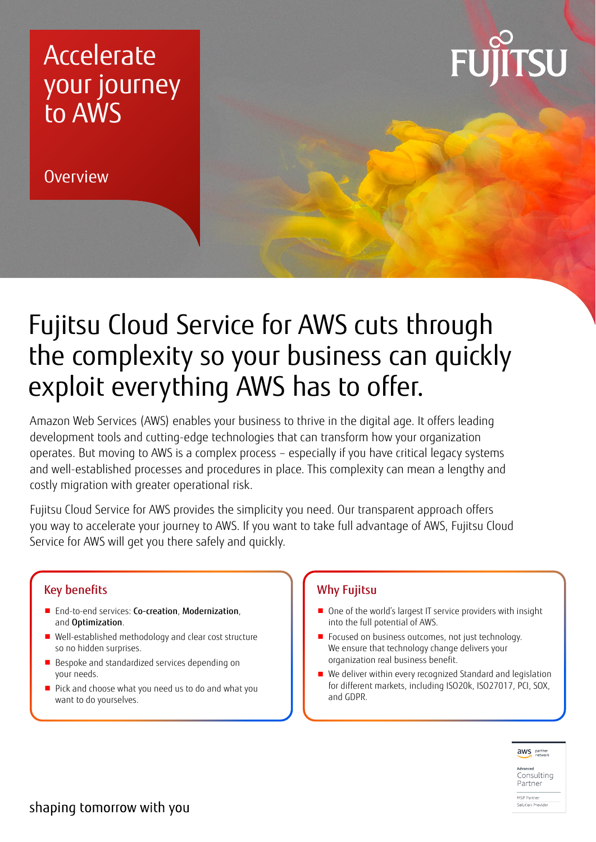### Accelerate your journey to AWS

**Overview** 



## Fujitsu Cloud Service for AWS cuts through the complexity so your business can quickly exploit everything AWS has to offer.

Amazon Web Services (AWS) enables your business to thrive in the digital age. It offers leading development tools and cutting-edge technologies that can transform how your organization operates. But moving to AWS is a complex process – especially if you have critical legacy systems and well-established processes and procedures in place. This complexity can mean a lengthy and costly migration with greater operational risk.

Fujitsu Cloud Service for AWS provides the simplicity you need. Our transparent approach offers you way to accelerate your journey to AWS. If you want to take full advantage of AWS, Fujitsu Cloud Service for AWS will get you there safely and quickly.

#### Key benefits

- End-to-end services: Co-creation, Modernization, and Optimization.
- Well-established methodology and clear cost structure so no hidden surprises.
- Bespoke and standardized services depending on your needs.
- Pick and choose what you need us to do and what you want to do yourselves.

#### Why Fujitsu

- One of the world's largest IT service providers with insight into the full potential of AWS.
- Focused on business outcomes, not just technology. We ensure that technology change delivers your organization real business benefit.
- We deliver within every recognized Standard and legislation for different markets, including ISO20k, ISO27017, PCI, SOX, and GDPR.



<sub>Advanced</sub><br>Consulting Partner MSP Partner

Solution Provider